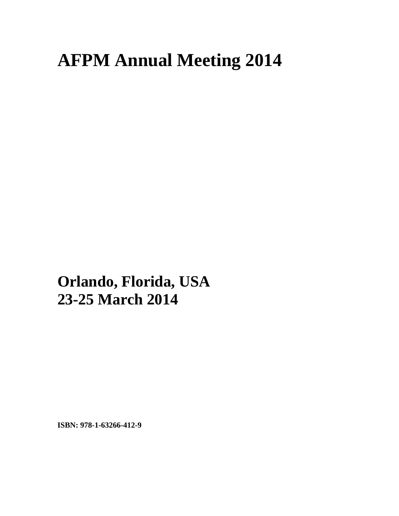## **AFPM Annual Meeting 2014**

**Orlando, Florida, USA 23-25 March 2014**

**ISBN: 978-1-63266-412-9**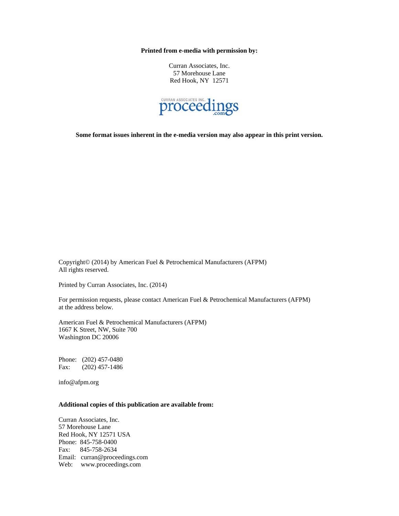**Printed from e-media with permission by:** 

Curran Associates, Inc. 57 Morehouse Lane Red Hook, NY 12571



**Some format issues inherent in the e-media version may also appear in this print version.** 

Copyright© (2014) by American Fuel & Petrochemical Manufacturers (AFPM) All rights reserved.

Printed by Curran Associates, Inc. (2014)

For permission requests, please contact American Fuel & Petrochemical Manufacturers (AFPM) at the address below.

American Fuel & Petrochemical Manufacturers (AFPM) 1667 K Street, NW, Suite 700 Washington DC 20006

Phone: (202) 457-0480 Fax: (202) 457-1486

info@afpm.org

## **Additional copies of this publication are available from:**

Curran Associates, Inc. 57 Morehouse Lane Red Hook, NY 12571 USA Phone: 845-758-0400 Fax: 845-758-2634 Email: curran@proceedings.com Web: www.proceedings.com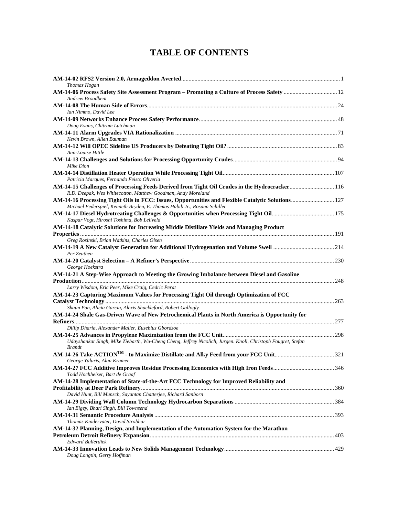## **TABLE OF CONTENTS**

| <b>Thomas Hogan</b>                                                                                                                                                           |  |
|-------------------------------------------------------------------------------------------------------------------------------------------------------------------------------|--|
| AM-14-06 Process Safety Site Assessment Program - Promoting a Culture of Process Safety  12                                                                                   |  |
| Andrew Broadbent                                                                                                                                                              |  |
|                                                                                                                                                                               |  |
| Ian Nimmo, David Lee                                                                                                                                                          |  |
|                                                                                                                                                                               |  |
| Doug Evans, Chitram Lutchman                                                                                                                                                  |  |
|                                                                                                                                                                               |  |
| Kevin Brown, Allen Bauman                                                                                                                                                     |  |
|                                                                                                                                                                               |  |
| Ann-Louise Hittle                                                                                                                                                             |  |
|                                                                                                                                                                               |  |
| Mike Dion                                                                                                                                                                     |  |
|                                                                                                                                                                               |  |
| Patricia Marques, Fernando Feisto Oliveria                                                                                                                                    |  |
| AM-14-15 Challenges of Processing Feeds Derived from Tight Oil Crudes in the Hydrocracker116                                                                                  |  |
| R.D. Deepak, Wes Whitecotton, Matthew Goodman, Andy Moreland                                                                                                                  |  |
| AM-14-16 Processing Tight Oils in FCC: Issues, Opportunities and Flexible Catalytic Solutions 127<br>Michael Federspiel, Kenneth Bryden, E. Thomas Habib Jr., Rosann Schiller |  |
|                                                                                                                                                                               |  |
| Kaspar Vogt, Hiroshi Toshima, Bob Leliveld                                                                                                                                    |  |
| AM-14-18 Catalytic Solutions for Increasing Middle Distillate Yields and Managing Product                                                                                     |  |
|                                                                                                                                                                               |  |
| Greg Rosinski, Brian Watkins, Charles Olsen                                                                                                                                   |  |
|                                                                                                                                                                               |  |
| Per Zeuthen                                                                                                                                                                   |  |
|                                                                                                                                                                               |  |
| George Hoekstra                                                                                                                                                               |  |
| AM-14-21 A Step-Wise Approach to Meeting the Growing Imbalance between Diesel and Gasoline                                                                                    |  |
|                                                                                                                                                                               |  |
| Larry Wisdom, Eric Peer, Mike Craig, Cedric Perat                                                                                                                             |  |
| AM-14-23 Capturing Maximum Values for Processing Tight Oil through Optimization of FCC                                                                                        |  |
|                                                                                                                                                                               |  |
| Shaun Pan, Alicia Garcia, Alexis Shackleford, Robert Gallogly                                                                                                                 |  |
| AM-14-24 Shale Gas-Driven Wave of New Petrochemical Plants in North America is Opportunity for                                                                                |  |
|                                                                                                                                                                               |  |
| Dillip Dharia, Alexander Maller, Eusebius Gbordzoe                                                                                                                            |  |
|                                                                                                                                                                               |  |
| Udayshankar Singh, Mike Ziebarth, Wu-Cheng Cheng, Jeffrey Nicolich, Jurgen. Knoll, Christoph Fougret, Stefan                                                                  |  |
| <b>Brandt</b>                                                                                                                                                                 |  |
|                                                                                                                                                                               |  |
| George Yaluris, Alan Kramer                                                                                                                                                   |  |
|                                                                                                                                                                               |  |
| Todd Hochheiser, Bart de Graaf                                                                                                                                                |  |
| AM-14-28 Implementation of State-of-the-Art FCC Technology for Improved Reliability and                                                                                       |  |
|                                                                                                                                                                               |  |
| David Hunt, Bill Munsch, Sayantan Chatterjee, Richard Sanborn                                                                                                                 |  |
|                                                                                                                                                                               |  |
| Ian Elgey, Bhari Singh, Bill Townsend                                                                                                                                         |  |
|                                                                                                                                                                               |  |
| Thomas Kindervater, David Strobhar                                                                                                                                            |  |
| AM-14-32 Planning, Design, and Implementation of the Automation System for the Marathon                                                                                       |  |
|                                                                                                                                                                               |  |
| <b>Edward Bullerdiek</b>                                                                                                                                                      |  |
|                                                                                                                                                                               |  |
| Doug Longtin, Gerry Hoffman                                                                                                                                                   |  |